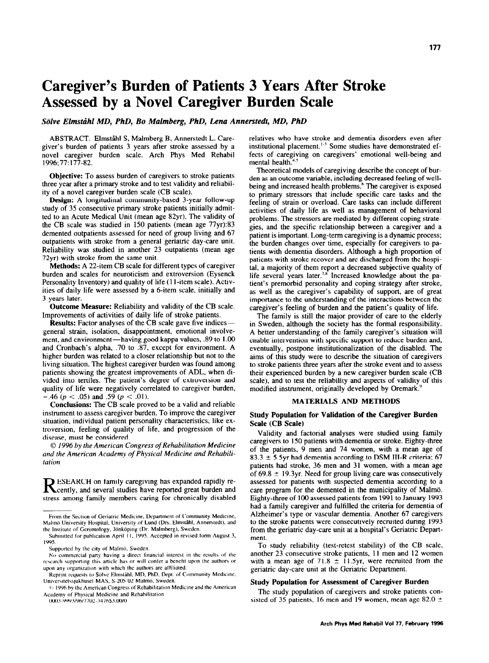# Caregiver's Burden of Patients 3 Years After Stroke Assessed by a Novel Caregiver Burden Scale

Sölve Elmståhl MD, PhD, Bo Malmberg, PhD, Lena Annerstedt, MD, PhD

ABSTRACT. Elmståhl S, Malmberg B, Annerstedt L. Caregiver's burden of patients 3 years after stroke assessed by a novel caregiver burden scale. Arch Phys Med Rehabil 1996; 77: 177-82.

Objective: To assess burden of caregivers to stroke patients three year after a primary stroke and to test validity and reliability of a novel caregiver burden scale (CB scale).

Design: A longitudinal community-based 3-year follow-up study of 35 consecutive primary stroke patients initially admitted to an Acute Medical Unit (mean age 82yr). The validity of the CB scale was studied in I50 patients (mean age 77yr):83 demented outpatients assessed for need of group living and 67 outpatients with stroke from a general geriatric day-care unit. Reliability was studied in another 23 outpatients (mean age 72yr) with stroke from the same unit.

Methods: A 22-item CB scale for different types of caregiver burden and scales for neuroticism and extroversion (Eysenck Personality Inventory) and quality of life (1 I-item scale). Activities of daily life were assessed by a 6-item scale, initially and 3 years later.

Outcome Measure: Reliability and validity of the CB scale. Improvements of activities of daily life of stroke patients.

**Results:** Factor analyses of the CB scale gave five indicesgeneral strain, isolation, disappointment, emotional involvement, and environment-having good kappa values, .89 to I .OO and Cronbach's alpha, .70 to .87, except for environment. A higher burden was related to a closer relationship but not to the living situation. The highest caregiver burden was found among patients showing the greatest improvements of ADL, when divided into tertiles. The patient's degree of extroversion and quality of life were negatively correlated to caregiver burden, .46 ( $p < .05$ ) and .59 ( $p < .01$ ).

Conclusions: The CB scale proved to be a valid and reliable instrument to assess caregiver burden. To improve the caregiver situation, individual patient personality characteristics, like extroversion, feeling of quality of life, and progression of the disease, must be considered.

 $\odot$  1996 by the American Congress of Rehabilitation Medicine and the American Academy of Physical Medicine and Rehubilitation

RESEARCH on family caregiving has expanded rapidly recently, and several studies have reported great burden and stress among family members caring for chronically disabled

Submitted for publication April 11, 1995. Accepted in revised form August 3, IYYS.

0003-9993/96/7702-3476\$3.00/0

relatives who have stroke and dementia disorders even after institutional placement.'. Some studies have demonstrated effects of caregiving on caregivers' emotional well-being and mental health.<sup>4.5</sup>

Theoretical models of caregiving describe the concept of burden as an outcome variable, including decreased feeling of wellbeing and increased health problems.<sup>6</sup> The caregiver is exposed to primary stressors that include specific care tasks and the feeling of strain or overload. Care tasks can include different activities of daily life as well as management of behavioral problems. The stressors are mediated by different coping strategies, and the specific relationship between a caregiver and a patient is important. Long-term caregiving is a dynamic process; the burden changes over time, especially for caregivers to patients with dementia disorders. Although a high proportion of patients with stroke recover and are discharged from the hospital, a majority of them report a decreased subjective quality of life several years later.<sup>7.8</sup> Increased knowledge about the patient's premorbid personality and coping strategy after stroke, as well as the caregiver's capability of support, are of great importance to the understanding of the interactions between the caregiver's feeling of burden and the patient's quality of life.

The family is still the major provider of care to the elderly in Sweden, although the society has the formal responsibility. A better understanding of the family caregiver's situation will enable intervention with specific support to reduce burden and, eventually, postpone institutionalization of the disabled. The aims of this study were to describe the situation of caregivers to stroke patients three years after the stroke event and to assess their experienced burden by a new caregiver burden scale (CB scale), and to test the reliability and aspects of validity of this modified instrument, originally developed by Oremark."

### MATERIALS AND METHODS

### Study Population for Validation of the Caregiver Burden Scale (CB Scale)

Validity and factorial analyses were studied using family caregivers to I50 patients with dementia or stroke. Eighty-three of the patients, 9 men and 74 women, with a mean age of 83.3  $\pm$  5.5yr had dementia according to DSM III-R criteria; 67 patients had stroke, 36 men and 31 women, with a mean age of 69.8  $\pm$  19.3yr. Need for group living care was consecutively assessed for patients with suspected dementia according to a care program for the demented in the municipality of Malmö. Eighty-three of 100 assessed patients from 1991 to January 1993 had a family caregiver and fulfilled the criteria for dementia of Alzheimer's type or vascular dementia. Another 67 caregivers to the stroke patients were consecutively recruited during 1993 from the geriatric day-care unit at a hospital's Geriatric Department.

To study reliability (test-retest stability) of the CB scale, another 23 consecutive stroke patients, 11 men and 12 women with a mean age of 71.8  $\pm$  11.5yr, were recruited from the geriatric day-care unit at the Geriatric Department.

### Study Population for Assessment of Caregiver Burden

The study population of caregivers and stroke patients consisted of 35 patients, 16 men and 19 women, mean age 82.0  $\pm$ 

From the Section of Geriatric Medicine, Department of Community Medicine, Malmö University Hospital, University of Lund (Drs. Elmståhl, Annerstedt), and the Institute of Gerontology, Jönköping (Dr. Malmberg), Sweden.

Supported by the city of Malmö, Sweden.

No commercial party having a direct financial interest in the results of the research supporting this article has or will confer a benefit upon the authors or upon any organization with which the authors are affiliated.

Reprint requests to Sölve Elmståhl. MD, PhD, Dept. of Community Medicine. Universitetssjukhuset MAS, S-205 02 Malmö, Sweden.

<sup>(1996</sup> by the American Congress of Rehabilitation Medicine and the American Academy of Physical Medicine and Rehabilitation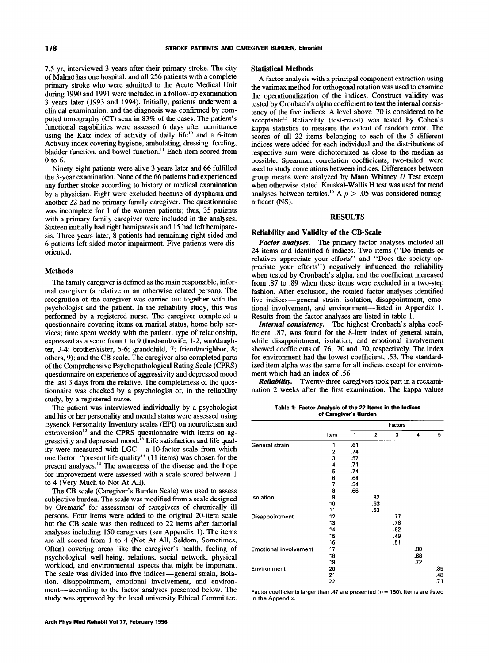7.5 yr, interviewed 3 years after their primary stroke. The city of Malmö has one hospital, and all 256 patients with a complete primary stroke who were admitted to the Acute Medical Unit during 1990 and 1991 were included in a follow-up examination 3 years later (1993 and 1994). Initially, patients underwent a clinical examination, and the diagnosis was confirmed by computed tomography (CT) scan in 83% of the cases. The patient's functional capabilities were assessed 6 days after admittance using the Katz index of activity of daily life<sup>10</sup> and a 6-item Activity index covering hygiene, ambulating, dressing, feeding, bladder function, and bowel function." Each item scored from 0 to 6.

Ninety-eight patients were alive 3 years later and 66 fulfilled the 3-year examination. None of the 66 patients had experienced any further stroke according to history or medical examination by a physician. Eight were excluded because of dysphasia and another 22 had no primary family caregiver. The questionnaire was incomplete for 1 of the women patients; thus, 35 patients with a primary family caregiver were included in the analyses. Sixteen initially had right hemiparesis and 15 had left hemiparesis. Three years later, 8 patients had remaining right-sided and 6 patients left-sided motor impairment. Five patients were disoriented.

### Methods

The family caregiver is defined as the main responsible, informal caregiver (a relative or an otherwise related person). The recognition of the caregiver was carried out together with the psychologist and the patient. In the reliability study, this was performed by a registered nurse. The caregiver completed a questionnaire covering items on marital status, home help services; time spent weekly with the patient; type of relationship, expressed as a score from 1 to 9 (husband/wife, 1-2; son/daughter, 3-4; brother/sister, 5-6; grandchild, 7; friend/neighbor, 8; others, 9); and the CB scale. The caregiver also completed parts of the Comprehensive Psychopathological Rating Scale (CPRS) questionnaire on experience of aggressivity and depressed mood the last 3 days from the relative. The completeness of the questionnaire was checked by a psychologist or, in the reliability study, by a registered nurse.

The patient was interviewed individually by a psychologist and his or her personality and mental status were assessed using Eysenck Personality Inventory scales (EPI) on neuroticism and extroversion<sup>12</sup> and the CPRS questionnaire with items on aggressivity and depressed mood.<sup>13</sup> Life satisfaction and life quality were measured with LGC-a 10-factor scale from which one factor, "present life quality" (11 items) was chosen for the present analyses.14 The awareness of the disease and the hope for improvement were assessed with a scale scored between 1 to 4 (Very Much to Not At All).

The CB scale (Caregiver's Burden Scale) was used to assess subjective burden. The scale was modified from a scale designed by Oremark<sup>9</sup> for assessment of caregivers of chronically ill persons. Four items were added to the original 20-item scale but the CB scale was then reduced to 22 items after factorial analyses including 150 caregivers (see Appendix 1). The items are all scored from 1 to 4 (Not At All, Seldom, Sometimes, Often) covering areas like the caregiver's health, feeling of psychological well-being, relations, social network, physical workload, and environmental aspects that might be important. The scale was divided into five indices-general strain, isolation, disappointment, emotional involvement, and environment-according to the factor analyses presented below. The study was approved by the local university Ethical Committee.

#### Statistical Methods

A factor analysis with a principal component extraction using the varimax method for orthogonal rotation was used to examine the operationalization of the indices. Construct validity was tested by Cronbach's alpha coefficient to test the internal consistency of the five indices. A level above .70 is considered to be acceptable<sup>15</sup> Reliability (test-retest) was tested by Cohen's kappa statistics to measure the extent of random error. The scores of all 22 items belonging to each of the 5 different indices were added for each individual and the distributions of respective sum were dichotomized as close to the median as possible. Spearman correlation coefficients, two-tailed, were used to study correlations between indices. Differences between group means were analyzed by Mann Whitney  $U$  Test except when otherwise stated. Kruskal-Wallis H test was used for trend analyses between tertiles.<sup>16</sup> A  $p > .05$  was considered nonsignificant (NS).

#### RESULTS

### Reliability and Validity of the CB-Scale

Factor analyses. The primary factor analyses included all 24 items and identified 6 indices. Two items ("Do friends or relatives appreciate your efforts" and "Does the society appreciate your efforts") negatively influenced the reliability when tested by Cronbach's alpha, and the coefficient increased from .87 to .89 when these items were excluded in a two-step fashion. After exclusion, the rotated factor analyses identified five indices-general strain, isolation, disappointment, emotional involvement, and environment—listed in Appendix 1. Results from the factor analyses are listed in table 1.

Internal consistency. The highest Cronbach's alpha coefficient, .87, was found for the 8-item index of general strain, while disappointment, isolation, and emotional involvement showed coefficients of .76, .70 and .70, respectively. The index for environment had the lowest coefficient, .53. The standardized item alpha was the same for all indices except for environment which had an index of .56.

Reliability. Twenty-three caregivers took part in a reexamination 2 weeks after the first examination. The kappa values

Table 1: Factor Analysis of the 22 kerns in the Indices of Caregiver's Burden

|                              |                                                                                                                                                   |     |                | Factors |     |     |
|------------------------------|---------------------------------------------------------------------------------------------------------------------------------------------------|-----|----------------|---------|-----|-----|
|                              | Item                                                                                                                                              | 1   | $\overline{2}$ | 3       | 4   | 5   |
| General strain               | 1                                                                                                                                                 | .61 |                |         |     |     |
|                              |                                                                                                                                                   | .74 |                |         |     |     |
|                              | $\frac{2}{3}$<br>.57<br>4<br>.71<br>5<br>.74<br>6<br>.64<br>7<br>.54<br>8<br>.66<br>9<br>10<br>11<br>12<br>13<br>14<br>15<br>16<br>17<br>18<br>19 |     |                |         |     |     |
|                              |                                                                                                                                                   |     |                |         |     |     |
|                              |                                                                                                                                                   |     |                |         |     |     |
|                              |                                                                                                                                                   |     |                |         |     |     |
|                              |                                                                                                                                                   |     |                |         |     |     |
|                              |                                                                                                                                                   |     |                |         |     |     |
| Isolation                    |                                                                                                                                                   |     | .82            |         |     |     |
|                              |                                                                                                                                                   |     | .63            |         |     |     |
|                              |                                                                                                                                                   |     | .53            |         |     |     |
| Disappointment               |                                                                                                                                                   |     |                | .77     |     |     |
|                              |                                                                                                                                                   |     |                | .78     |     |     |
|                              |                                                                                                                                                   |     |                | .62     |     |     |
|                              |                                                                                                                                                   |     |                | .49     |     |     |
|                              |                                                                                                                                                   |     |                | .51     |     |     |
| <b>Emotional involvement</b> |                                                                                                                                                   |     |                |         | .80 |     |
|                              |                                                                                                                                                   |     |                |         | .68 |     |
|                              |                                                                                                                                                   |     |                |         | .72 |     |
| Environment                  | 20                                                                                                                                                |     |                |         |     | .85 |
|                              | 21                                                                                                                                                |     |                |         |     | .48 |
|                              | 22                                                                                                                                                |     |                |         |     | .71 |

Factor coefficients larger than .47 are presented ( $n = 150$ ). Items are listed in the Appendix.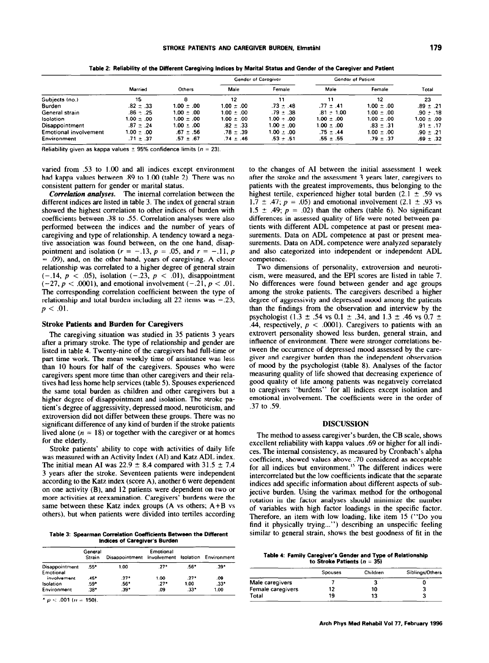|                              |                |                |                | Gender of Caregiver | Gender of Patient |                |                |
|------------------------------|----------------|----------------|----------------|---------------------|-------------------|----------------|----------------|
|                              | Married        | Others         | Male           | Female              | Male              | Female         | Total          |
| Subjects (no.)               | 15             |                | 12             | 11                  | 11                | 12             | 23             |
| Burden                       | $.82 \pm .33$  | $1.00 \pm .00$ | $1.00 \pm .00$ | $.73 \pm .48$       | $.77 \pm .41$     | $1.00 \pm .00$ | $.89 \pm .21$  |
| General strain               | $.86 + .25$    | $1.00 + .00$   | $1.00 + .00$   | $.79 + .38$         | $.81 \pm 1.00$    | $1.00 + .00$   | $.90 + .18$    |
| Isolation                    | $1.00 \pm .00$ | $1.00 \pm .00$ | $1.00 \pm .00$ | $1.00 + .00$        | $1.00 \pm .00$    | $1.00 \pm .00$ | $1.00 \pm .00$ |
| Disappointment               | $.87 \pm .24$  | $1.00 \pm .00$ | $.82 \pm .33$  | $1.00 \pm .00$      | $1.00 \pm .00$    | $.83 \pm .31$  | $.91 \pm .17$  |
| <b>Emotional involvement</b> | $00 \pm .00$   | $.67 \pm .56$  | $.78 \pm .39$  | $1.00 \pm .00$      | $.75 \pm .44$     | $1.00 \pm .00$ | $.90 \pm .21$  |
| Environment                  | $.71 \pm .37$  | $.57 \pm .67$  | .74 ± .46      | $.53 + .51$         | $.55 \pm .55$     | $.79 \pm .37$  | $.69 \pm .32$  |

Table 2: Reliability of the Different Caregiving Indices by Marital Status and Gender of the Caregiver and Patient

Reliability given as kappa values  $\pm$  95% confidence limits ( $n = 23$ ).

varied from .53 to 1.00 and all indices except environment had kappa values between .89 to 1.00 (table 2). There was no consistent pattern for gender or marital status.

Correlation analyses. The internal correlation between the different indices are listed in table 3. The index of general strain showed the highest correlation to other indices of burden with coefficients between .38 to .55. Correlation analyses were also performed between the indices and the number of years of caregiving and type of relationship. A tendency toward a negative association was found between, on the one hand, disappointment and isolation ( $r = -.13$ ,  $p = .05$ , and  $r = -.11$ , p  $=$  0.09), and, on the other hand, years of caregiving. A closer relationship was correlated to a higher degree of general strain  $(-.14, p < .05)$ , isolation  $(-.23, p < .01)$ , disappointment  $(-27, p < .0001)$ , and emotional involvement  $(-.21, p < .01$ . The corresponding correlation coefficient between the type of relationship and total burden including all 22 items was  $-.23$ ,  $p < .01$ .

### **Stroke Patients and Burden for Caregivers**

The caregiving situation was studied in 35 patients 3 years after a primary stroke. The type of relationship and gender are listed in table 4. Twenty-nine of the caregivers had full-time or part-time work. The mean weekly time of assistance was less than 10 hours for half of the caregivers. Spouses who were caregivers spent more time than other caregivers and their relatives had less home help services (table 5). Spouses experienced the same total burden as children and other caregivers but a higher degree of disappointment and isolation. The stroke patient's degree of aggressivity, depressed mood, neuroticism, and extroversion did not differ between these groups. There was no significant difference of any kind of burden if the stroke patients lived alone ( $n = 18$ ) or together with the caregiver or at homes for the elderly.

Stroke patients' ability to cope with activities of daily life was measured with an Activity Index (AI) and Katz ADL index. The initial mean AI was  $22.9 \pm 8.4$  compared with 31.5  $\pm$  7.4 3 years after the stroke. Seventeen patients were independent according to the Katz index (score A), another 6 were dependent on one activity  $(B)$ , and 12 patients were dependent on two or more activities at reexamination. Caregivers' burdens were the same between these Katz index groups  $(A \text{ vs others}; A+B \text{ vs }$ others), but when patients were divided into tertiles according

Table 3: Spearman Correlation Coefficients Between the Different Indices of Caregiver's Burden

|                             | General<br>Strain | Disappointment Involvement Isolation Environment | Emotional |        |      |
|-----------------------------|-------------------|--------------------------------------------------|-----------|--------|------|
| Disappointment<br>Emotional | .55*              | 1.00                                             | .27*      | .56*   | .39* |
| involvement                 | 45°               | $27*$                                            | 1.00      | $27*$  | .09  |
| Isolation                   | .59*              | .56*                                             | .27*      | 1.00   | .33* |
| Environment                 | .38*              | $.39^{\circ}$                                    | .09       | $.33*$ | 1.00 |

\*  $p < .001(n = 150)$ .

to the changes of AI between the initial assessment 1 week after the stroke and the assessment 3 years later, caregivers to patients with the greatest improvements, thus belonging to the highest tertile, experienced higher total burden  $(2.1 \pm .59 \text{ vs } 1)$  $1.7 \pm .47$ ;  $p = .05$ ) and emotional involvement (2.1  $\pm .93$  vs 1.5  $\pm$  .49;  $p = .02$ ) than the others (table 6). No significant differences in assessed quality of life were noted between patients with different ADL competence at past or present measurements. Data on ADL competence at past or present measurements. Data on ADL competence were analyzed separately and also categorized into independent or independent ADL competence.

Two dimensions of personality, extroversion and neuroticism, were measured, and the EPI scores are listed in table 7. No differences were found between gender and age groups among the stroke patients. The caregivers described a higher degree of aggressivity and depressed mood among the patients than the findings from the observation and interview by the psychologist (1.3 ± .54 vs 0.1 ± .34, and 1.3 ± .46 vs 0.7 ± .44, respectively,  $p < .0001$ ). Caregivers to patients with an extrovert personality showed less burden, general strain, and influence of environment. There were stronger correlations between the occurrence of depressed mood assessed by the caregiver and caregiver burden than the independent observation of mood by the psychologist (table 8). Analyses of the factor measuring quality of life showed that decreasing experience of good quality of life among patients was negatively correlated to caregivers "burdens" for all indices except isolation and emotional involvement. The coefficients were in the order of .37 to .59.

#### **DISCUSSION**

The method to assess caregiver's burden, the CB scale, shows excellent reliability with kappa values .69 or higher for all indices. The internal consistency, as measured by Cronbach's alpha coefficient, showed values above .70 considered as acceptable for all indices but environment.<sup>15</sup> The different indices were intercorrelated but the low coefficients indicate that the separate indices add specific information about different aspects of subjective burden. Using the varimax method for the orthogonal rotation in the factor analyses should minimize the number of variables with high factor loadings in the specific factor. Therefore, an item with low loading, like item 15 ("Do you find it physically trying...") describing an unspecific feeling similar to general strain, shows the best goodness of fit in the

Table 4: Family Caregiver's Gender and Type of Relationship to Stroke Patients ( $n = 35$ )

|                   | <b>Spouses</b> | Children | Siblings/Others |
|-------------------|----------------|----------|-----------------|
| Male caregivers   |                |          |                 |
| Female caregivers | 12             | 10       |                 |
| Total             | 19             | 13       |                 |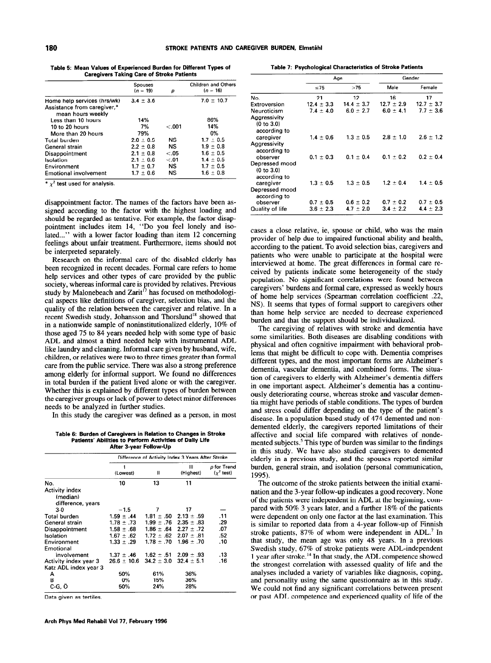Table 5: Mean Values of Experienced Burden for Different Types of Caregivers Taking Care of Stroke Patients

|                                                                                 | <b>Spouses</b><br>$(n = 19)$ | р       | Children and Others<br>$(n = 16)$ |
|---------------------------------------------------------------------------------|------------------------------|---------|-----------------------------------|
| Home help services (hrs/wk)<br>Assistance from caregiver,*<br>mean hours weekly | $3.4 \pm 3.6$                |         | $7.0 \pm 10.7$                    |
| Less than 10 hours                                                              | 14%                          |         | 86%                               |
| 10 to 20 hours                                                                  | 7%                           | $-.001$ | 14%                               |
| More than 20 hours                                                              | 79%                          |         | 0%                                |
| Total burden                                                                    | $2.0 \pm 0.5$                | NS.     | $1.7 \pm 0.5$                     |
| General strain                                                                  | $2.2 + 0.8$                  | NS      | $1.9 \pm 0.8$                     |
| Disappointment                                                                  | $2.1 + 0.8$                  | < 0.05  | $1.6 \pm 0.5$                     |
| Isolation                                                                       | $2.1 \pm 0.6$                | < 01    | $1.4 \pm 0.5$                     |
| Environment                                                                     | $1.7 \pm 0.7$                | NS.     | $1.7 \pm 0.5$                     |
| <b>Emotional involvement</b>                                                    | $1.7 \pm 0.6$                | NS      | $1.6 \pm 0.8$                     |

\*  $\chi^2$  test used for analysis.

disappointment factor. The names of the factors have been assigned according to the factor with the highest loading and should be regarded as tentative. For example, the factor disappointment includes item 14, "Do you feel lonely and isolated..." with a lower factor loading than item 12 concerning feelings about unfair treatment. Furthermore, items should not be interpreted separately.

Research on the informal care of the disabled elderly has been recognized in recent decades. Formal care refers to home help services and other types of care provided by the public society, whereas informal care is provided by relatives. Previous study by Malonebeach and Zarit<sup>17</sup> has focused on methodological aspects like definitions of caregiver, selection bias, and the quality of the relation between the caregiver and relative. In a recent Swedish study, Johansson and Thorslund<sup>18</sup> showed that in a nationwide sample of noninstitutionalized elderly, 10% of those aged 75 to 84 years needed help with some type of basic ADL and almost a third needed help with instrumental ADL like laundry and cleaning. Informal care given by husband, wife, children, or relatives were two to three times greater than formal care from the public service. There was also a strong preference among elderly for informal support. We found no differences in total burden if the patient lived alone or with the caregiver. Whether this is explained by different types of burden between the caregiver groups or lack of power to detect minor differences needs to be analyzed in further studies.

In this study the caregiver was defined as a person, in most

Table 6: Burden of Caregivers in Relation to Changes in Stroke Patients' Abilities to Perform Activities of Daily Life After 3-year Follow-Up

|                                                        | Difference of Activity Index 3 Years After Stroke |                |                |                                               |  |  |
|--------------------------------------------------------|---------------------------------------------------|----------------|----------------|-----------------------------------------------|--|--|
|                                                        | π<br>(Lowest)                                     |                | Ш<br>(Highest) | <i>p</i> for Trend<br>$(\chi^2 \text{ test})$ |  |  |
| No.                                                    | 10                                                | 13             | 11             |                                               |  |  |
| <b>Activity index</b><br>(median)<br>difference, years |                                                   |                |                |                                               |  |  |
| $3-0$                                                  | $-1.5$                                            | 7              | 17             |                                               |  |  |
| Total burden                                           | $1.59 \pm .44$                                    | $1.81 \pm .50$ | $2.13 \pm .59$ | .11                                           |  |  |
| General strain                                         | $1.78 \pm .73$                                    | $1.99 \pm .76$ | $2.35 \pm .83$ | .29                                           |  |  |
| Disappointment                                         | $1.58 \pm .68$                                    | $1.86 \pm .64$ | $2.27 \pm .72$ | .07                                           |  |  |
| Isolation                                              | $1.67 \pm .62$                                    | $1.72 \pm .62$ | $2.07 \pm .81$ | .52                                           |  |  |
| Environment<br>Emotional                               | $1.33 \pm .29$                                    | $1.78 + .70$   | $1.96 + .70$   | .10                                           |  |  |
| involvement                                            | $1.37 \pm .46$                                    | $1.62 \pm .51$ | $2.09 \pm .93$ | .13                                           |  |  |
| Activity index year 3                                  | $26.6 \pm 10.6$                                   | $34.2 \pm 3.0$ | $32.4 \pm 5.1$ | .16                                           |  |  |
| Katz ADL index year 3                                  |                                                   |                |                |                                               |  |  |
| А                                                      | 50%                                               | 61%            | 36%            |                                               |  |  |
| в                                                      | 0%                                                | 15%            | 36%            |                                               |  |  |
| $C-G, O$                                               | 50%                                               | 24%            | 28%            |                                               |  |  |
|                                                        |                                                   |                |                |                                               |  |  |

Data given as tertiles.

Table 7: Psychological Characteristics of Stroke Patients

|                                              |                | Age            | Gender         |                |  |
|----------------------------------------------|----------------|----------------|----------------|----------------|--|
|                                              | $\leq 75$      | >75            | Male           | Female         |  |
| No.                                          | 21             | 12             | 16             | 17             |  |
| Extroversion                                 | $12.4 \pm 3.3$ | $14.4 \pm 3.7$ | $12.7 \pm 2.9$ | $12.7 \pm 3.7$ |  |
| Neuroticism                                  | $7.4 \pm 4.0$  | $6.0 \pm 2.7$  | $6.0 \pm 4.1$  | $7.7 \pm 3.6$  |  |
| Aggressivity<br>(0 to 3.0)<br>according to   |                |                |                |                |  |
| caregiver                                    | $14 \pm 0.6$   | $1.3 \pm 0.5$  | $2.8 \pm 1.0$  | $2.6 \pm 1.2$  |  |
| Aggressivity<br>according to                 |                |                |                |                |  |
| observer                                     | $0.1 \pm 0.3$  | $0.1 \pm 0.4$  | $0.1 \pm 0.2$  | $0.2 \pm 0.4$  |  |
| Depressed mood<br>(0 to 3.0)<br>according to |                |                |                |                |  |
| caregiver                                    | $1.3 \pm 0.5$  | $1.3 \pm 0.5$  | $1.2 \pm 0.4$  | $1.4 \pm 0.5$  |  |
| Depressed mood<br>according to<br>observer   | $0.7 \pm 0.5$  | $0.6 \pm 0.2$  | $0.7 \pm 0.2$  | $0.7 \pm 0.5$  |  |
| Quality of life                              | $3.6 \pm 2.3$  | $4.7 \pm 2.0$  | $3.4 \pm 2.2$  | $4.4 \pm 2.3$  |  |
|                                              |                |                |                |                |  |

cases a close relative, ie, spouse or child, who was the main provider of help due to impaired functional ability and health, according to the patient. To avoid selection bias, caregivers and patients who were unable to participate at the hospital were interviewed at home. The great differences in formal care received by patients indicate some heterogeneity of the study population. No significant correlations were found between caregivers' burdens and formal care, expressed as weekly hours of home help services (Spearman correlation coefficient .22, NS). It seems that types of formal support to caregivers other than home help service are needed to decrease experienced burden and that the support should be individualized.

The caregiving of relatives with stroke and dementia have some similarities. Both diseases are disabling conditions with physical and often cognitive impairment with behavioral problems that might be difficult to cope with. Dementia comprises different types, and the most important forms are Alzheimer's dementia, vascular dementia, and combined forms. The situation of caregivers to elderly with Alzheimer's dementia differs in one important aspect. Alzheimer's dementia has a continuously deteriorating course, whereas stroke and vascular dementia might have periods of stable conditions. The types of burden and stress could differ depending on the type of the patient's disease. In a population-based study of 474 demented and nondemented elderly, the caregivers reported limitations of their affective and social life compared with relatives of nondemented subjects.<sup>5</sup> This type of burden was similar to the findings in this study. We have also studied caregivers to demented elderly in a previous study, and the spouses reported similar burden, general strain, and isolation (personal communication, 1995).

The outcome of the stroke patients between the initial examination and the 3-year follow-up indicates a good recovery. None of the patients were independent in ADL at the beginning, compared with 50% 3 years later, and a further 18% of the patients were dependent on only one factor at the last examination. This is similar to reported data from a 4-year follow-up of Finnish stroke patients, 87% of whom were independent in ADL.' In that study, the mean age was only 48 years. In a previous Swedish study, 67% of stroke patients were ADL-independent 1 year after stroke.<sup>14</sup> In that study, the ADL competence showed the strongest correlation with assessed quality of life and the analyses included a variety of variables like diagnosis, coping, and personality using the same questionnaire as in this study. We could not find any significant correlations between present or past ADL competence and experienced quality of life of the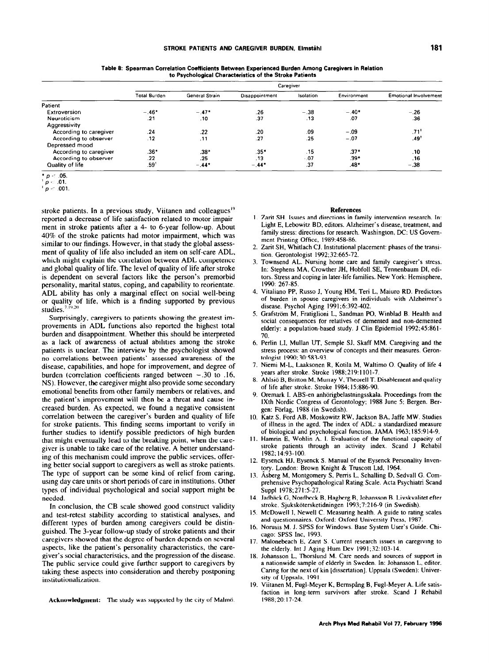|                        | Caregiver           |                |                |           |             |                              |  |
|------------------------|---------------------|----------------|----------------|-----------|-------------|------------------------------|--|
|                        | <b>Total Burden</b> | General Strain | Disappointment | Isolation | Environment | <b>Emotional Involvement</b> |  |
| Patient                |                     |                |                |           |             |                              |  |
| Extroversion           | $-.46*$             | $-.47*$        | .26            | $-.38$    | $-.40*$     | $-.26$                       |  |
| Neuroticism            | .21                 | .10            | .37            | .13       | .07         | .36                          |  |
| Aggressivity           |                     |                |                |           |             |                              |  |
| According to caregiver | .24                 | .22            | .20            | .09       | $-.09$      | $.71$ <sup>*</sup>           |  |
| According to observer  | .12                 | .11            | .27            | .25       | $-.07$      | .49'                         |  |
| Depressed mood         |                     |                |                |           |             |                              |  |
| According to caregiver | $.36*$              | $.38*$         | $.35*$         | .15       | $.37*$      | .10                          |  |
| According to observer  | .22                 | .25            | .13            | $-07$     | .39*        | .16                          |  |
| Quality of life        | .59'                | $-.44*$        | $-.44*$        | .37       | .48*        | $-.38$                       |  |

Table 8: Spearman Correlation Coefficients Between Experienced Burden Among Caregivers in Relation to Psychological Characteristics of the Stroke Patients

 $p < .01$ .

stroke patients. In a previous study, Viitanen and colleagues<sup>19</sup> reported a decrease of life satisfaction related to motor impairment in stroke patients after a 4- to 6-year follow-up. About 40% of the stroke patients had motor impairment, which was similar to our findings. However, in that study the global assessment of quality of life also included an item on self-care ADL, which might explain the correlation between ADL competence and global quality of life. The level of quality of life after stroke is dependent on several factors like the person's premorbid personality, marital status, coping, and capability to reorientate. ADL ability has only a marginal effect on social well-being or quality of life, which is a finding supported by previou  $\frac{7.19.20}{5.19.20}$ 

Surprisingly, caregivers to patients showing the greatest improvements in ADL functions also reported the highest total burden and disappointment. Whether this should be interpreted as a lack of awareness of actual abilities among the stroke patients is unclear. The interview by the psychologist showed no correlations between patients' assessed awareness of the disease, capabilities, and hope for improvement, and degree of burden (correlation coefficients ranged between  $-.30$  to .16, NS). However, the caregiver might also provide some secondary emotional benefits from other family members or relatives, and the patient's improvement will then bc a threat and cause increased burden. As expected, we found a negative consistent correlation between the caregiver's burden and quality of life for stroke patients. This finding seems important to verify in further studies to identify possible predictors of high burden that might eventually lead to the breaking point, when the caregiver is unable to take care of the relative. A better undcrstanding of this mechanism could improve the public services, offering better social support to caregivers as well as stroke patients. The type of support can be some kind of relief from caring, using day care units or short periods of care in institutions. Other types of individual psychological and social support might be necdcd.

In conclusion, the CB scale showed good construct validity and test-retest stability according to statistical analyses, and different types of burden among caregivers could be distinguished. The 3-year follow-up study of stroke patients and their caregivers showed that the degree of burden depends on several aspects, like the patient's personality characteristics, the caregiver's social characteristics, and the progression of the disease. The public service could give further support to caregivers by taking these aspects into consideration and thereby postponing institutionalization.

Acknowledgment: The study was supported by the city of Malmö.

#### References

- I. Zarit SH. Issues and directions in family intervention research. In: Light E. Lebowitz BD, editors. Alzheimer's disease, treatment, and family stress: directions for research. Washington, DC: US Govemment Printing Office, 1989:458-86.
- 2. Zarit SH, Whitlach CJ. Institutional placement: phases of the transition. Gerontologist 1992;32:665-72.
- 3. Townsend AL. Nursing home care and family caregiver's stress. In: Stephens MA, Crowther JH, Hobfoll SE, Tennenbaum DI, editors. Stress and coping in later-life families. New York: Hemisphere, 1990: 267-85.
- 4. Vitaliano PP. Russo J. Young HM. Teri L. Maiuro RD. Predictors of burden in spouse caregivers in individuals with Alzheimer's disease. Psycho1 Aging 1991;6:392-402.
- 5. Grafstrom M, Fratiglioni L, Sandman PO. Winblad B. Health and social consequences for relatives of demented and non-demented elderly: a population-based study. J Clin Epidemiol 1992;45:861- 70.
- 6. Perlin LI, Mullan UT, Semple SJ, Skaff MM. Caregiving and the stress process: an overview of concepts and their measures. Gerontologist 1990;30:583-93.
- I. Niemi M-L, Laaksonen R, Kotila M, Waltimo 0. Quality of life 4 years after stroke. Stroke 1988;219:1101-7.
- 8. Ahlsiö B, Britton M, Murray V, Theorell T. Disablement and quality of life after stroke. Stroke 1984; 15:886-90.
- 9. Oremark I. ABS-en anhörigbelastningsskala. Proceedings from the IXth Nordic Congress of Gerontology; 1988 June 5: Bergen. Bergen: Forlag, 1988 (in Swedish).
- IO. Katz S, Ford AB, Moskowitx RW, Jackson BA, Jaffe MW. Studies of illness in the aged. The index of ADL: a standardized measure of biological and psychological function. JAMA 1963;185:914-9.
- II. Hamrin E, Wohlin A. I. Evaluation of the functional capacity of stroke patients through an activity index. Scand J Rehabil 1982; 14:93-100.
- 12. Eysenck HJ, Eysenck S. Manual of the Eysenck Personality Inve tory. London: Brown Knight & Truscott Ltd. 1964.
- 13. Asberg M, Montgomery S. Penis L. Schalling D. Sedvall G. Comprehensive Psychopathological Rating Scale. Acta Psychiatri Scand Suppl 1978;271:5-27.
- 14. Jadbäck G, Nordbeck B, Hagberg B, Johansson B. Livskvalitet efte stroke. Sjukskotersketidningen 1993;7:216-9 (in Swedish).
- IS. McDowell 1. Newell C. Measuring health. A guide to rating scales and questionnaires. Oxford: Oxford University Press, 1987.
- 16. Norusis M. J. SPSS for Windows. Base System User's Guide. Ch cago: SPSS Inc. 1993.
- 17. Malonebeach E, Zarit S. Current research issues in caregiving to the elderly. Int J Aging Hum Dcv 1991;32:103-14.
- 18. Johansson L. Thorslund M. Care needs and sources of support in a nationwide sample of elderly in Sweden. In: Johansson L, editor. Caring for the next of kin [dissertation]. Uppsala (Sweden): University of Uppsala, 1991
- 19. Viitanen M, Fugl-Meyer K, Bernspång B, Fugl-Meyer A. Life sati faction in long-term survivors after stroke. Scand J Rehabil 1988;20:17-24.

 $p < .05$ .

 $p = 001$ .